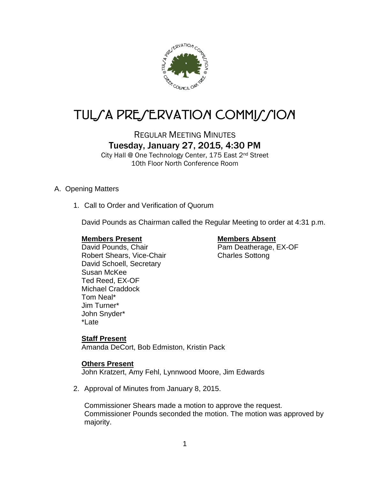

# TUL/A PRE/ERVATION COMMI*J*/ION

## REGULAR MEETING MINUTES Tuesday, January 27, 2015, 4:30 PM

City Hall @ One Technology Center, 175 East 2nd Street 10th Floor North Conference Room

#### A. Opening Matters

1. Call to Order and Verification of Quorum

David Pounds as Chairman called the Regular Meeting to order at 4:31 p.m.

#### **Members Present Members Absent**

Robert Shears, Vice-Chair Charles Sottong David Schoell, Secretary Susan McKee Ted Reed, EX-OF Michael Craddock Tom Neal\* Jim Turner\* John Snyder\* \*Late

David Pounds, Chair Pam Deatherage, EX-OF

#### **Staff Present**

Amanda DeCort, Bob Edmiston, Kristin Pack

#### **Others Present**

John Kratzert, Amy Fehl, Lynnwood Moore, Jim Edwards

2. Approval of Minutes from January 8, 2015.

Commissioner Shears made a motion to approve the request. Commissioner Pounds seconded the motion. The motion was approved by majority.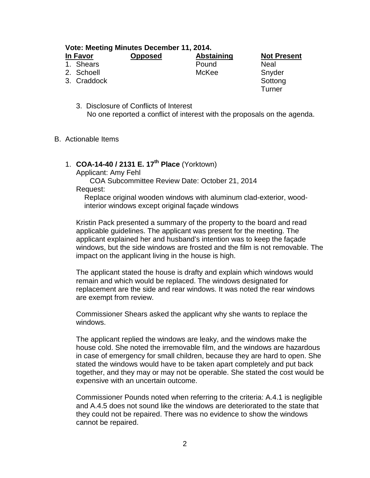**Vote: Meeting Minutes December 11, 2014.**

| In Favor    | <b>Opposed</b> | <b>Abstaining</b> | <b>Not Pre</b> |
|-------------|----------------|-------------------|----------------|
| 1. Shears   |                | Pound             | Neal           |
| 2. Schoell  |                | McKee             | Snyder         |
| 3. Craddock |                |                   | Sottong        |

**Not Present Turner** 

- 3. Disclosure of Conflicts of Interest No one reported a conflict of interest with the proposals on the agenda.
- B. Actionable Items

### 1. **COA-14-40 / 2131 E. 17th Place** (Yorktown)

Applicant: Amy Fehl

COA Subcommittee Review Date: October 21, 2014

Request:

Replace original wooden windows with aluminum clad-exterior, woodinterior windows except original façade windows

Kristin Pack presented a summary of the property to the board and read applicable guidelines. The applicant was present for the meeting. The applicant explained her and husband's intention was to keep the façade windows, but the side windows are frosted and the film is not removable. The impact on the applicant living in the house is high.

The applicant stated the house is drafty and explain which windows would remain and which would be replaced. The windows designated for replacement are the side and rear windows. It was noted the rear windows are exempt from review.

Commissioner Shears asked the applicant why she wants to replace the windows.

The applicant replied the windows are leaky, and the windows make the house cold. She noted the irremovable film, and the windows are hazardous in case of emergency for small children, because they are hard to open. She stated the windows would have to be taken apart completely and put back together, and they may or may not be operable. She stated the cost would be expensive with an uncertain outcome.

Commissioner Pounds noted when referring to the criteria: A.4.1 is negligible and A.4.5 does not sound like the windows are deteriorated to the state that they could not be repaired. There was no evidence to show the windows cannot be repaired.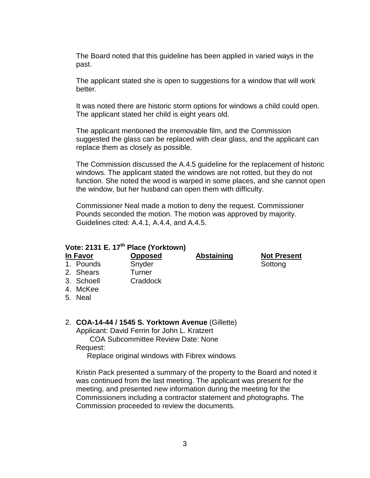The Board noted that this guideline has been applied in varied ways in the past.

The applicant stated she is open to suggestions for a window that will work better.

It was noted there are historic storm options for windows a child could open. The applicant stated her child is eight years old.

The applicant mentioned the irremovable film, and the Commission suggested the glass can be replaced with clear glass, and the applicant can replace them as closely as possible.

The Commission discussed the A.4.5 guideline for the replacement of historic windows. The applicant stated the windows are not rotted, but they do not function. She noted the wood is warped in some places, and she cannot open the window, but her husband can open them with difficulty.

Commissioner Neal made a motion to deny the request. Commissioner Pounds seconded the motion. The motion was approved by majority. Guidelines cited: A.4.1, A.4.4, and A.4.5.

#### **Vote: 2131 E. 17th Place (Yorktown)**

**In Favor Opposed Abstaining Not Present** 1. Pounds Snyder Snyder Sottong

- 2. Shears Turner 3. Schoell Craddock
- 4. McKee
- 
- 5. Neal

#### 2. **COA-14-44 / 1545 S. Yorktown Avenue** (Gillette)

Applicant: David Ferrin for John L. Kratzert

COA Subcommittee Review Date: None Request:

Replace original windows with Fibrex windows

Kristin Pack presented a summary of the property to the Board and noted it was continued from the last meeting. The applicant was present for the meeting, and presented new information during the meeting for the Commissioners including a contractor statement and photographs. The Commission proceeded to review the documents.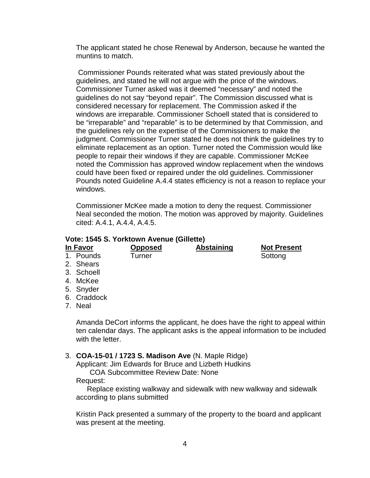The applicant stated he chose Renewal by Anderson, because he wanted the muntins to match.

Commissioner Pounds reiterated what was stated previously about the guidelines, and stated he will not argue with the price of the windows. Commissioner Turner asked was it deemed "necessary" and noted the guidelines do not say "beyond repair". The Commission discussed what is considered necessary for replacement. The Commission asked if the windows are irreparable. Commissioner Schoell stated that is considered to be "irreparable" and "reparable" is to be determined by that Commission, and the guidelines rely on the expertise of the Commissioners to make the judgment. Commissioner Turner stated he does not think the guidelines try to eliminate replacement as an option. Turner noted the Commission would like people to repair their windows if they are capable. Commissioner McKee noted the Commission has approved window replacement when the windows could have been fixed or repaired under the old guidelines. Commissioner Pounds noted Guideline A.4.4 states efficiency is not a reason to replace your windows.

Commissioner McKee made a motion to deny the request. Commissioner Neal seconded the motion. The motion was approved by majority. Guidelines cited: A.4.1, A.4.4, A.4.5.

#### **Vote: 1545 S. Yorktown Avenue (Gillette)**

| In Favor                      | <b>Opposed</b> | <b>Abstaining</b> | <b>Not Present</b> |
|-------------------------------|----------------|-------------------|--------------------|
| 1. Pounds                     | Turner         |                   | Sottong            |
| 2. Shears                     |                |                   |                    |
| 3. Schoell                    |                |                   |                    |
| $\lambda$ $\lambda$ $\lambda$ |                |                   |                    |

- 4. McKee
- 5. Snyder
- 6. Craddock
- 7. Neal

Amanda DeCort informs the applicant, he does have the right to appeal within ten calendar days. The applicant asks is the appeal information to be included with the letter.

#### 3. **COA-15-01 / 1723 S. Madison Ave** (N. Maple Ridge)

Applicant: Jim Edwards for Bruce and Lizbeth Hudkins

COA Subcommittee Review Date: None

#### Request:

Replace existing walkway and sidewalk with new walkway and sidewalk according to plans submitted

Kristin Pack presented a summary of the property to the board and applicant was present at the meeting.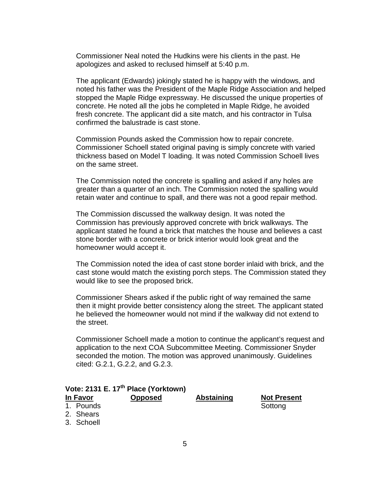Commissioner Neal noted the Hudkins were his clients in the past. He apologizes and asked to reclused himself at 5:40 p.m.

The applicant (Edwards) jokingly stated he is happy with the windows, and noted his father was the President of the Maple Ridge Association and helped stopped the Maple Ridge expressway. He discussed the unique properties of concrete. He noted all the jobs he completed in Maple Ridge, he avoided fresh concrete. The applicant did a site match, and his contractor in Tulsa confirmed the balustrade is cast stone.

Commission Pounds asked the Commission how to repair concrete. Commissioner Schoell stated original paving is simply concrete with varied thickness based on Model T loading. It was noted Commission Schoell lives on the same street.

The Commission noted the concrete is spalling and asked if any holes are greater than a quarter of an inch. The Commission not*e*d the spalling would retain water and continue to spall, and there was not a good repair method.

The Commission discussed the walkway design. It was noted the Commission has previously approved concrete with brick walkways. The applicant stated he found a brick that matches the house and believes a cast stone border with a concrete or brick interior would look great and the homeowner would accept it.

The Commission noted the idea of cast stone border inlaid with brick, and the cast stone would match the existing porch steps. The Commission stated they would like to see the proposed brick.

Commissioner Shears asked if the public right of way remained the same then it might provide better consistency along the street. The applicant stated he believed the homeowner would not mind if the walkway did not extend to the street.

Commissioner Schoell made a motion to continue the applicant's request and application to the next COA Subcommittee Meeting. Commissioner Snyder seconded the motion. The motion was approved unanimously. Guidelines cited: G.2.1, G.2.2, and G.2.3.

|            | Vote: 2131 E. 17th Place (Yorktown) |                   |                    |
|------------|-------------------------------------|-------------------|--------------------|
| In Favor   | <b>Opposed</b>                      | <b>Abstaining</b> | <b>Not Present</b> |
| 1. Pounds  |                                     |                   | Sottong            |
| 2. Shears  |                                     |                   |                    |
| 3. Schoell |                                     |                   |                    |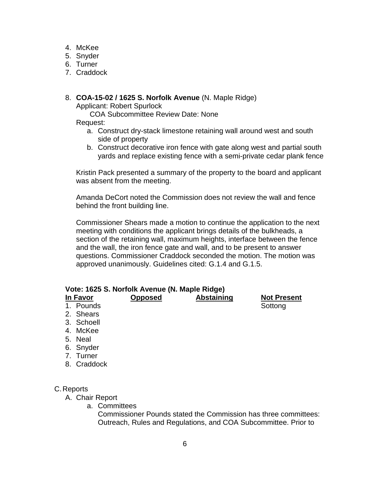- 4. McKee
- 5. Snyder
- 6. Turner
- 7. Craddock

#### 8. **COA-15-02 / 1625 S. Norfolk Avenue** (N. Maple Ridge)

Applicant: Robert Spurlock

COA Subcommittee Review Date: None

Request:

- a. Construct dry-stack limestone retaining wall around west and south side of property
- b. Construct decorative iron fence with gate along west and partial south yards and replace existing fence with a semi-private cedar plank fence

Kristin Pack presented a summary of the property to the board and applicant was absent from the meeting.

Amanda DeCort noted the Commission does not review the wall and fence behind the front building line.

Commissioner Shears made a motion to continue the application to the next meeting with conditions the applicant brings details of the bulkheads, a section of the retaining wall, maximum heights, interface between the fence and the wall, the iron fence gate and wall, and to be present to answer questions. Commissioner Craddock seconded the motion. The motion was approved unanimously. Guidelines cited: G.1.4 and G.1.5.

#### **Vote: 1625 S. Norfolk Avenue (N. Maple Ridge)**

**In Favor Opposed Abstaining Not Present** 1. Pounds **Sottong** 

- 2. Shears
- 3. Schoell
- 4. McKee
- 5. Neal
- 6. Snyder
- 7. Turner
- 8. Craddock

#### C.Reports

- A. Chair Report
	- a. Committees

Commissioner Pounds stated the Commission has three committees: Outreach, Rules and Regulations, and COA Subcommittee. Prior to